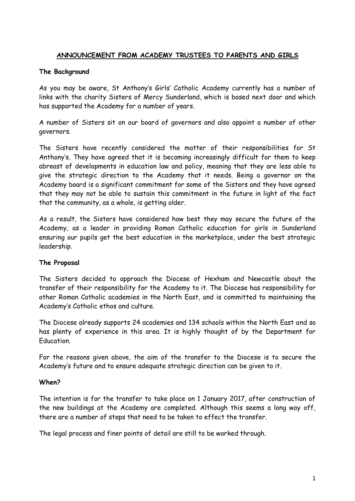# **ANNOUNCEMENT FROM ACADEMY TRUSTEES TO PARENTS AND GIRLS**

### **The Background**

As you may be aware, St Anthony's Girls' Catholic Academy currently has a number of links with the charity Sisters of Mercy Sunderland, which is based next door and which has supported the Academy for a number of years.

A number of Sisters sit on our board of governors and also appoint a number of other governors.

The Sisters have recently considered the matter of their responsibilities for St Anthony's. They have agreed that it is becoming increasingly difficult for them to keep abreast of developments in education law and policy, meaning that they are less able to give the strategic direction to the Academy that it needs. Being a governor on the Academy board is a significant commitment for some of the Sisters and they have agreed that they may not be able to sustain this commitment in the future in light of the fact that the community, as a whole, is getting older.

As a result, the Sisters have considered how best they may secure the future of the Academy, as a leader in providing Roman Catholic education for girls in Sunderland ensuring our pupils get the best education in the marketplace, under the best strategic leadership.

### **The Proposal**

The Sisters decided to approach the Diocese of Hexham and Newcastle about the transfer of their responsibility for the Academy to it. The Diocese has responsibility for other Roman Catholic academies in the North East, and is committed to maintaining the Academy's Catholic ethos and culture.

The Diocese already supports 24 academies and 134 schools within the North East and so has plenty of experience in this area. It is highly thought of by the Department for Education.

For the reasons given above, the aim of the transfer to the Diocese is to secure the Academy's future and to ensure adequate strategic direction can be given to it.

### **When?**

The intention is for the transfer to take place on 1 January 2017, after construction of the new buildings at the Academy are completed. Although this seems a long way off, there are a number of steps that need to be taken to effect the transfer.

The legal process and finer points of detail are still to be worked through.